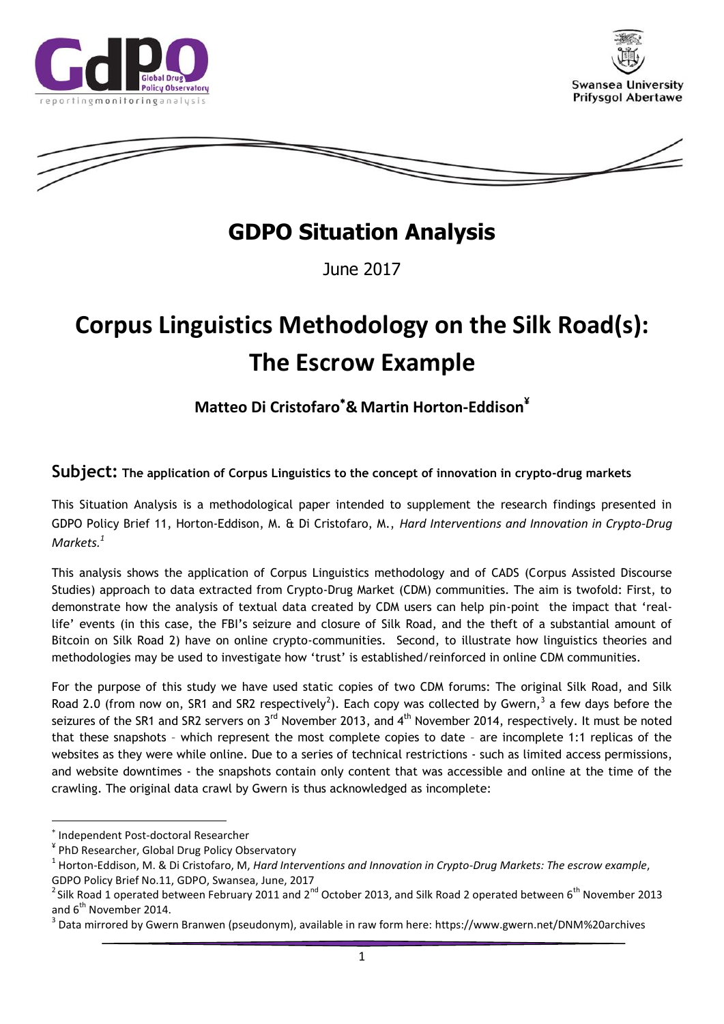





## **GDPO Situation Analysis**

June 2017

# **Corpus Linguistics Methodology on the Silk Road(s): The Escrow Example**

## **Matteo Di Cristofaro& Martin Horton-Eddison¥**

**Subject: The application of Corpus Linguistics to the concept of innovation in crypto-drug markets**

This Situation Analysis is a methodological paper intended to supplement the research findings presented in GDPO Policy Brief 11, Horton-Eddison, M. & Di Cristofaro, M., *Hard Interventions and Innovation in Crypto-Drug Markets. 1*

This analysis shows the application of Corpus Linguistics methodology and of CADS (Corpus Assisted Discourse Studies) approach to data extracted from Crypto-Drug Market (CDM) communities. The aim is twofold: First, to demonstrate how the analysis of textual data created by CDM users can help pin-point the impact that 'reallife' events (in this case, the FBI's seizure and closure of Silk Road, and the theft of a substantial amount of Bitcoin on Silk Road 2) have on online crypto-communities. Second, to illustrate how linguistics theories and methodologies may be used to investigate how 'trust' is established/reinforced in online CDM communities.

For the purpose of this study we have used static copies of two CDM forums: The original Silk Road, and Silk Road 2.0 (from now on, SR1 and SR2 respectively<sup>2</sup>). Each copy was collected by Gwern,<sup>3</sup> a few days before the seizures of the SR1 and SR2 servers on 3<sup>rd</sup> November 2013, and 4<sup>th</sup> November 2014, respectively. It must be noted that these snapshots – which represent the most complete copies to date – are incomplete 1:1 replicas of the websites as they were while online. Due to a series of technical restrictions - such as limited access permissions, and website downtimes - the snapshots contain only content that was accessible and online at the time of the crawling. The original data crawl by Gwern is thus acknowledged as incomplete:

 $\overline{a}$ 

<sup>\*</sup> Independent Post-doctoral Researcher

<sup>¥</sup> PhD Researcher, Global Drug Policy Observatory

<sup>&</sup>lt;sup>1</sup> Horton-Eddison, M. & Di Cristofaro, M, *Hard Interventions and Innovation in Crypto-Drug Markets: The escrow example*, GDPO Policy Brief No.11, GDPO, Swansea, June, 2017

<sup>&</sup>lt;sup>2</sup> Silk Road 1 operated between February 2011 and 2<sup>nd</sup> October 2013, and Silk Road 2 operated between 6<sup>th</sup> November 2013 and  $6^{th}$  November 2014.

<sup>&</sup>lt;sup>3</sup> Data mirrored by Gwern Branwen (pseudonym), available in raw form here: https://www.gwern.net/DNM%20archives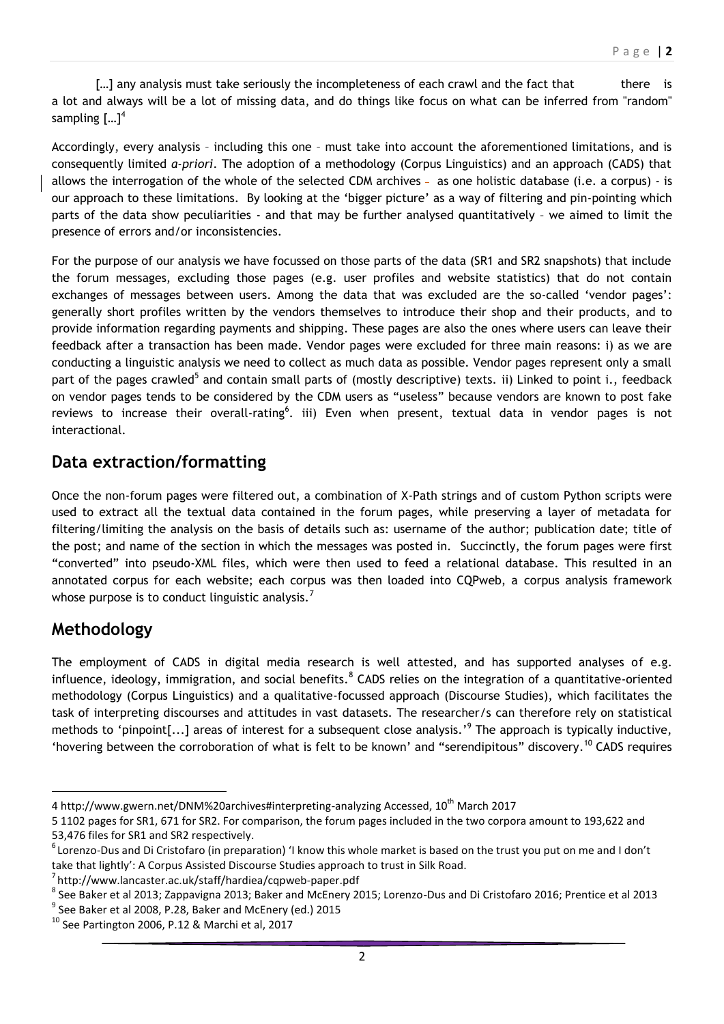[...] any analysis must take seriously the incompleteness of each crawl and the fact that there is a lot and always will be a lot of missing data, and do things like focus on what can be inferred from "random" sampling  $[...]^4$ 

Accordingly, every analysis – including this one – must take into account the aforementioned limitations, and is consequently limited *a-priori*. The adoption of a methodology (Corpus Linguistics) and an approach (CADS) that allows the interrogation of the whole of the selected CDM archives - as one holistic database (i.e. a corpus) - is our approach to these limitations. By looking at the 'bigger picture' as a way of filtering and pin-pointing which parts of the data show peculiarities - and that may be further analysed quantitatively – we aimed to limit the presence of errors and/or inconsistencies.

For the purpose of our analysis we have focussed on those parts of the data (SR1 and SR2 snapshots) that include the forum messages, excluding those pages (e.g. user profiles and website statistics) that do not contain exchanges of messages between users. Among the data that was excluded are the so-called 'vendor pages': generally short profiles written by the vendors themselves to introduce their shop and their products, and to provide information regarding payments and shipping. These pages are also the ones where users can leave their feedback after a transaction has been made. Vendor pages were excluded for three main reasons: i) as we are conducting a linguistic analysis we need to collect as much data as possible. Vendor pages represent only a small part of the pages crawled<sup>5</sup> and contain small parts of (mostly descriptive) texts. ii) Linked to point i., feedback on vendor pages tends to be considered by the CDM users as "useless" because vendors are known to post fake reviews to increase their overall-rating<sup>6</sup>. iii) Even when present, textual data in vendor pages is not interactional.

### **Data extraction/formatting**

Once the non-forum pages were filtered out, a combination of X-Path strings and of custom Python scripts were used to extract all the textual data contained in the forum pages, while preserving a layer of metadata for filtering/limiting the analysis on the basis of details such as: username of the author; publication date; title of the post; and name of the section in which the messages was posted in. Succinctly, the forum pages were first "converted" into pseudo-XML files, which were then used to feed a relational database. This resulted in an annotated corpus for each website; each corpus was then loaded into CQPweb, a corpus analysis framework whose purpose is to conduct linguistic analysis.<sup>7</sup>

## **Methodology**

The employment of CADS in digital media research is well attested, and has supported analyses of e.g. influence, ideology, immigration, and social benefits.  $8$  CADS relies on the integration of a quantitative-oriented methodology (Corpus Linguistics) and a qualitative-focussed approach (Discourse Studies), which facilitates the task of interpreting discourses and attitudes in vast datasets. The researcher/s can therefore rely on statistical methods to 'pinpoint[...] areas of interest for a subsequent close analysis.'<sup>9</sup> The approach is typically inductive, 'hovering between the corroboration of what is felt to be known' and "serendipitous" discovery. <sup>10</sup> CADS requires

<sup>9</sup> See Baker et al 2008, P.28, Baker and McEnery (ed.) 2015

 $\ddot{\phantom{a}}$ 4 http://www.gwern.net/DNM%20archives#interpreting-analyzing Accessed, 10<sup>th</sup> March 2017

<sup>5</sup> 1102 pages for SR1, 671 for SR2. For comparison, the forum pages included in the two corpora amount to 193,622 and 53,476 files for SR1 and SR2 respectively.

 $^6$ Lorenzo-Dus and Di Cristofaro (in preparation) 'I know this whole market is based on the trust you put on me and I don't take that lightly': A Corpus Assisted Discourse Studies approach to trust in Silk Road.

<sup>7</sup> http://www.lancaster.ac.uk/staff/hardiea/cqpweb-paper.pdf

 $^8$  See Baker et al 2013; Zappavigna 2013; Baker and McEnery 2015; Lorenzo-Dus and Di Cristofaro 2016; Prentice et al 2013

 $10$  See Partington 2006, P.12 & Marchi et al, 2017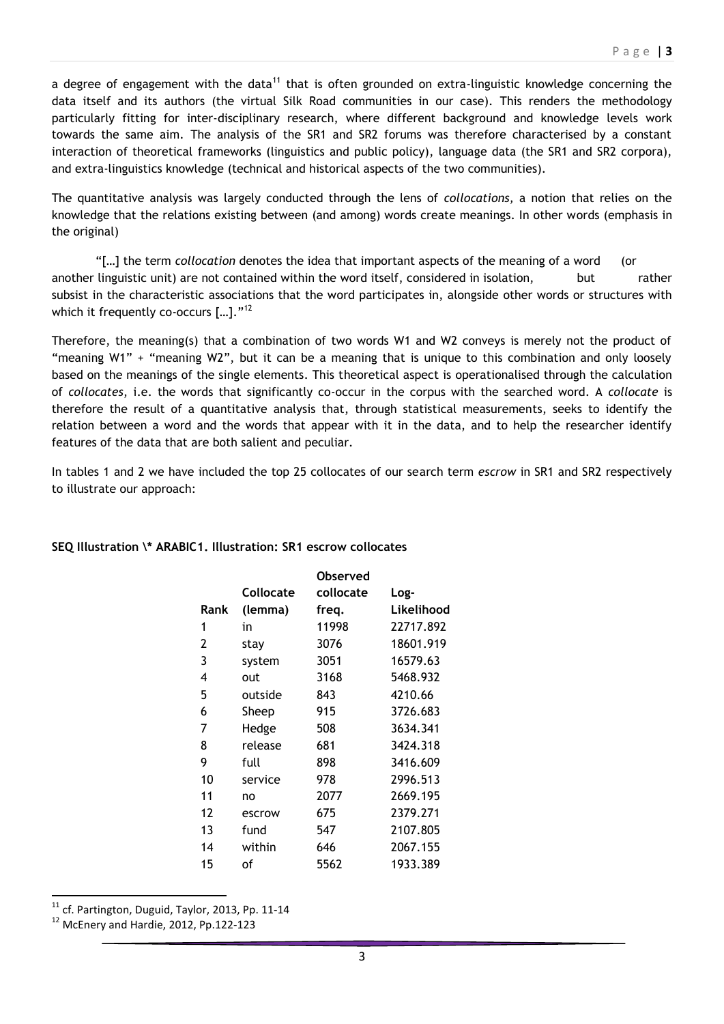a degree of engagement with the data<sup>11</sup> that is often grounded on extra-linguistic knowledge concerning the data itself and its authors (the virtual Silk Road communities in our case). This renders the methodology particularly fitting for inter-disciplinary research, where different background and knowledge levels work towards the same aim. The analysis of the SR1 and SR2 forums was therefore characterised by a constant interaction of theoretical frameworks (linguistics and public policy), language data (the SR1 and SR2 corpora), and extra-linguistics knowledge (technical and historical aspects of the two communities).

The quantitative analysis was largely conducted through the lens of *collocations,* a notion that relies on the knowledge that the relations existing between (and among) words create meanings. In other words (emphasis in the original)

"[…] the term *collocation* denotes the idea that important aspects of the meaning of a word (or another linguistic unit) are not contained within the word itself, considered in isolation, but rather subsist in the characteristic associations that the word participates in, alongside other words or structures with which it frequently co-occurs  $[...]$ ."<sup>12</sup>

Therefore, the meaning(s) that a combination of two words W1 and W2 conveys is merely not the product of "meaning W1" + "meaning W2", but it can be a meaning that is unique to this combination and only loosely based on the meanings of the single elements. This theoretical aspect is operationalised through the calculation of *collocates*, i.e. the words that significantly co-occur in the corpus with the searched word. A *collocate* is therefore the result of a quantitative analysis that, through statistical measurements, seeks to identify the relation between a word and the words that appear with it in the data, and to help the researcher identify features of the data that are both salient and peculiar.

In tables 1 and 2 we have included the top 25 collocates of our search term *escrow* in SR1 and SR2 respectively to illustrate our approach:

| Rank | <b>Collocate</b><br>(lemma) | Observed<br>collocate<br>freq. | Log-<br>Likelihood |
|------|-----------------------------|--------------------------------|--------------------|
| 1    | in                          | 11998                          | 22717.892          |
| 2    | stay                        | 3076                           | 18601.919          |
| 3    | system                      | 3051                           | 16579.63           |
| 4    | out                         | 3168                           | 5468.932           |
| 5    | outside                     | 843                            | 4210.66            |
| 6    | Sheep                       | 915                            | 3726.683           |
| 7    | Hedge                       | 508                            | 3634.341           |
| 8    | release                     | 681                            | 3424.318           |
| 9    | full                        | 898                            | 3416.609           |
| 10   | service                     | 978                            | 2996.513           |
| 11   | no                          | 2077                           | 2669.195           |
| 12   | escrow                      | 675                            | 2379.271           |
| 13   | fund                        | 547                            | 2107.805           |
| 14   | within                      | 646                            | 2067.155           |
| 15   | of                          | 5562                           | 1933.389           |

#### **SEQ Illustration \\* ARABIC1. Illustration: SR1 escrow collocates**

 $11$  cf. Partington, Duguid, Taylor, 2013, Pp. 11-14

 $\ddot{\phantom{a}}$ 

<sup>&</sup>lt;sup>12</sup> McEnery and Hardie, 2012, Pp.122-123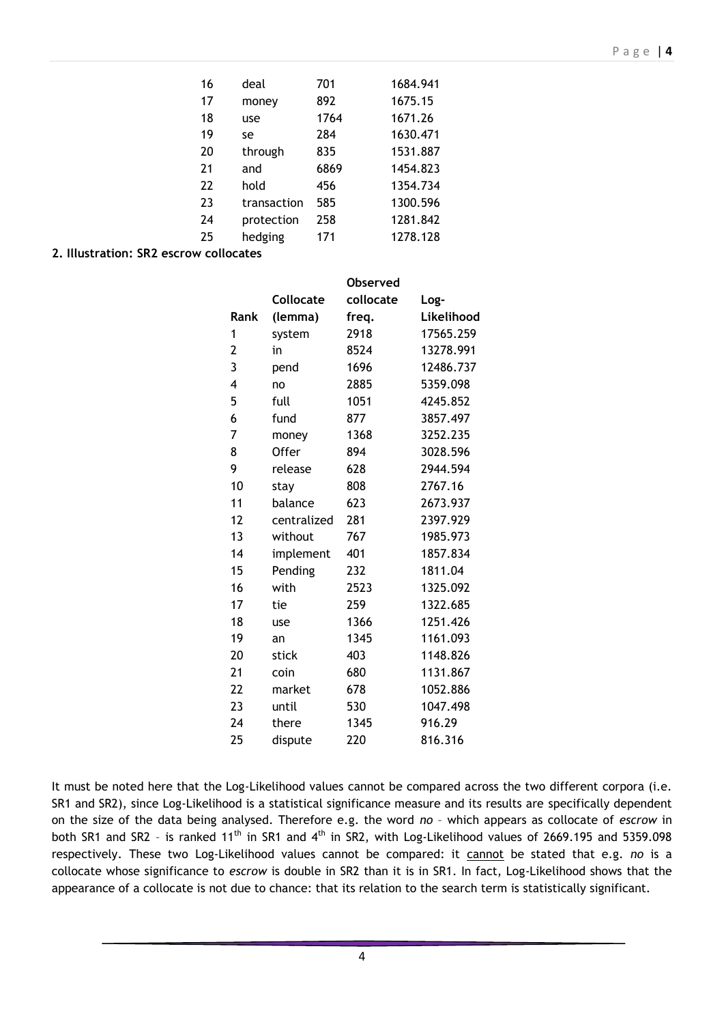| 16 | deal        | 701  | 1684.941 |
|----|-------------|------|----------|
| 17 | money       | 892  | 1675.15  |
| 18 | use         | 1764 | 1671.26  |
| 19 | se          | 284  | 1630.471 |
| 20 | through     | 835  | 1531.887 |
| 21 | and         | 6869 | 1454.823 |
| 22 | hold        | 456  | 1354.734 |
| 23 | transaction | 585  | 1300.596 |
| 24 | protection  | 258  | 1281.842 |
| 25 | hedging     | 171  | 1278.128 |

**2. Illustration: SR2 escrow collocates**

|      |                  | <b>Observed</b> |            |
|------|------------------|-----------------|------------|
|      | <b>Collocate</b> | collocate       | Log-       |
| Rank | (lemma)          | freq.           | Likelihood |
| 1    | system           | 2918            | 17565.259  |
| 2    | in               | 8524            | 13278.991  |
| 3    | pend             | 1696            | 12486.737  |
| 4    | no               | 2885            | 5359.098   |
| 5    | full             | 1051            | 4245.852   |
| 6    | fund             | 877             | 3857.497   |
| 7    | money            | 1368            | 3252.235   |
| 8    | <b>Offer</b>     | 894             | 3028.596   |
| 9    | release          | 628             | 2944.594   |
| 10   | stay             | 808             | 2767.16    |
| 11   | balance          | 623             | 2673.937   |
| 12   | centralized      | 281             | 2397.929   |
| 13   | without          | 767             | 1985.973   |
| 14   | implement        | 401             | 1857.834   |
| 15   | Pending          | 232             | 1811.04    |
| 16   | with             | 2523            | 1325.092   |
| 17   | tie              | 259             | 1322.685   |
| 18   | use              | 1366            | 1251.426   |
| 19   | an               | 1345            | 1161.093   |
| 20   | stick            | 403             | 1148.826   |
| 21   | coin             | 680             | 1131.867   |
| 22   | market           | 678             | 1052.886   |
| 23   | until            | 530             | 1047.498   |
| 24   | there            | 1345            | 916.29     |
| 25   | dispute          | 220             | 816.316    |

It must be noted here that the Log-Likelihood values cannot be compared across the two different corpora (i.e. SR1 and SR2), since Log-Likelihood is a statistical significance measure and its results are specifically dependent on the size of the data being analysed. Therefore e.g. the word *no* – which appears as collocate of *escrow* in both SR1 and SR2 - is ranked 11<sup>th</sup> in SR1 and 4<sup>th</sup> in SR2, with Log-Likelihood values of 2669.195 and 5359.098 respectively. These two Log-Likelihood values cannot be compared: it cannot be stated that e.g. *no* is a collocate whose significance to *escrow* is double in SR2 than it is in SR1. In fact, Log-Likelihood shows that the appearance of a collocate is not due to chance: that its relation to the search term is statistically significant.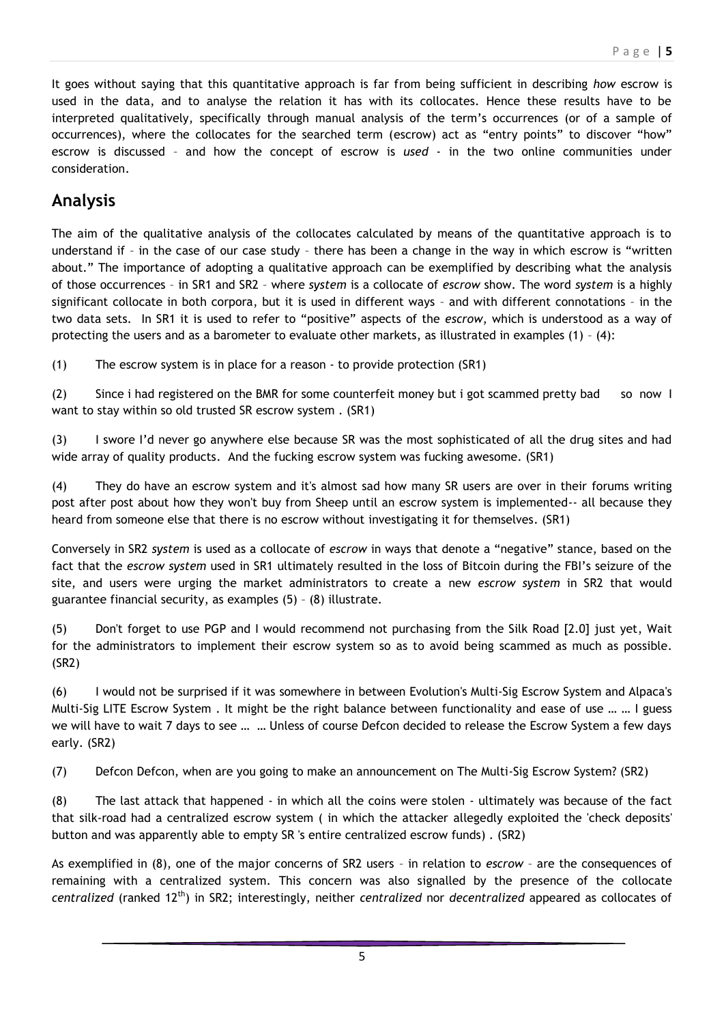It goes without saying that this quantitative approach is far from being sufficient in describing *how* escrow is used in the data, and to analyse the relation it has with its collocates. Hence these results have to be interpreted qualitatively, specifically through manual analysis of the term's occurrences (or of a sample of occurrences), where the collocates for the searched term (escrow) act as "entry points" to discover "how" escrow is discussed – and how the concept of escrow is *used* - in the two online communities under consideration.

## **Analysis**

The aim of the qualitative analysis of the collocates calculated by means of the quantitative approach is to understand if – in the case of our case study – there has been a change in the way in which escrow is "written about." The importance of adopting a qualitative approach can be exemplified by describing what the analysis of those occurrences – in SR1 and SR2 – where *system* is a collocate of *escrow* show. The word *system* is a highly significant collocate in both corpora, but it is used in different ways – and with different connotations – in the two data sets. In SR1 it is used to refer to "positive" aspects of the *escrow*, which is understood as a way of protecting the users and as a barometer to evaluate other markets, as illustrated in examples (1) – (4):

(1) The escrow system is in place for a reason - to provide protection (SR1)

(2) Since i had registered on the BMR for some counterfeit money but i got scammed pretty bad so now I want to stay within so old trusted SR escrow system . (SR1)

(3) I swore I'd never go anywhere else because SR was the most sophisticated of all the drug sites and had wide array of quality products. And the fucking escrow system was fucking awesome. (SR1)

(4) They do have an escrow system and it's almost sad how many SR users are over in their forums writing post after post about how they won't buy from Sheep until an escrow system is implemented-- all because they heard from someone else that there is no escrow without investigating it for themselves. (SR1)

Conversely in SR2 *system* is used as a collocate of *escrow* in ways that denote a "negative" stance, based on the fact that the *escrow system* used in SR1 ultimately resulted in the loss of Bitcoin during the FBI's seizure of the site, and users were urging the market administrators to create a new *escrow system* in SR2 that would guarantee financial security, as examples (5) – (8) illustrate.

(5) Don't forget to use PGP and I would recommend not purchasing from the Silk Road [2.0] just yet, Wait for the administrators to implement their escrow system so as to avoid being scammed as much as possible. (SR2)

(6) I would not be surprised if it was somewhere in between Evolution's Multi-Sig Escrow System and Alpaca's Multi-Sig LITE Escrow System . It might be the right balance between functionality and ease of use … … I guess we will have to wait 7 days to see … … Unless of course Defcon decided to release the Escrow System a few days early. (SR2)

(7) Defcon Defcon, when are you going to make an announcement on The Multi-Sig Escrow System? (SR2)

(8) The last attack that happened - in which all the coins were stolen - ultimately was because of the fact that silk-road had a centralized escrow system ( in which the attacker allegedly exploited the 'check deposits' button and was apparently able to empty SR 's entire centralized escrow funds) . (SR2)

As exemplified in (8), one of the major concerns of SR2 users – in relation to *escrow* – are the consequences of remaining with a centralized system. This concern was also signalled by the presence of the collocate *centralized* (ranked 12th) in SR2; interestingly, neither *centralized* nor *decentralized* appeared as collocates of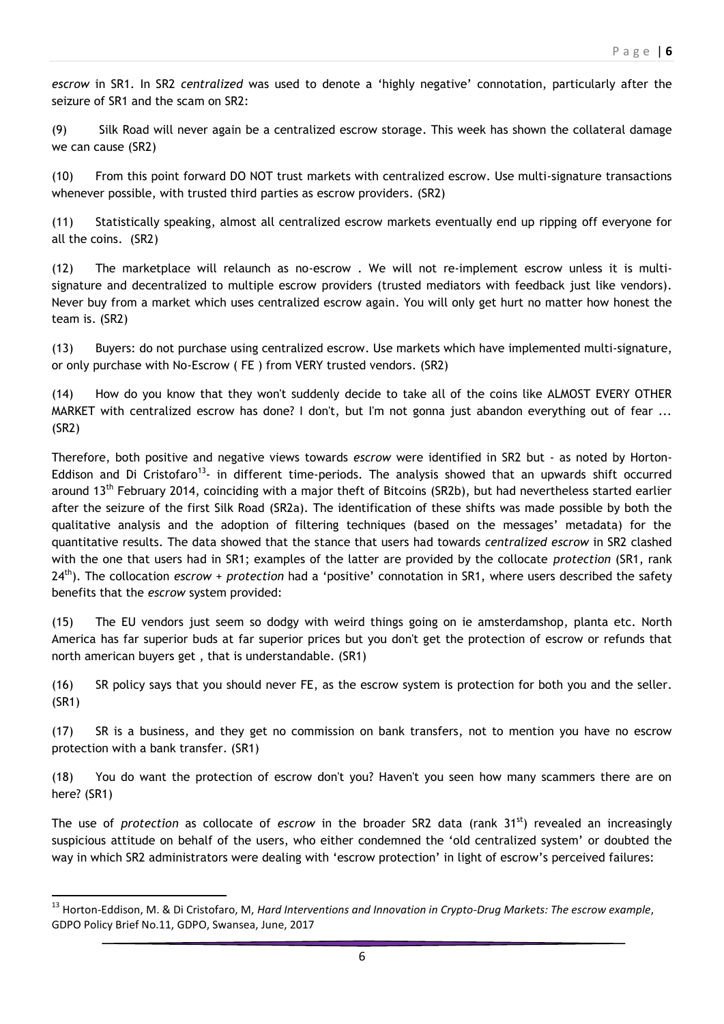*escrow* in SR1. In SR2 *centralized* was used to denote a 'highly negative' connotation, particularly after the seizure of SR1 and the scam on SR2:

(9) Silk Road will never again be a centralized escrow storage. This week has shown the collateral damage we can cause (SR2)

(10) From this point forward DO NOT trust markets with centralized escrow. Use multi-signature transactions whenever possible, with trusted third parties as escrow providers. (SR2)

(11) Statistically speaking, almost all centralized escrow markets eventually end up ripping off everyone for all the coins. (SR2)

(12) The marketplace will relaunch as no-escrow . We will not re-implement escrow unless it is multisignature and decentralized to multiple escrow providers (trusted mediators with feedback just like vendors). Never buy from a market which uses centralized escrow again. You will only get hurt no matter how honest the team is. (SR2)

(13) Buyers: do not purchase using centralized escrow. Use markets which have implemented multi-signature, or only purchase with No-Escrow ( FE ) from VERY trusted vendors. (SR2)

(14) How do you know that they won't suddenly decide to take all of the coins like ALMOST EVERY OTHER MARKET with centralized escrow has done? I don't, but I'm not gonna just abandon everything out of fear ... (SR2)

Therefore, both positive and negative views towards *escrow* were identified in SR2 but - as noted by Horton-Eddison and Di Cristofaro<sup>13</sup>- in different time-periods. The analysis showed that an upwards shift occurred around  $13<sup>th</sup>$  February 2014, coinciding with a major theft of Bitcoins (SR2b), but had nevertheless started earlier after the seizure of the first Silk Road (SR2a). The identification of these shifts was made possible by both the qualitative analysis and the adoption of filtering techniques (based on the messages' metadata) for the quantitative results. The data showed that the stance that users had towards *centralized escrow* in SR2 clashed with the one that users had in SR1; examples of the latter are provided by the collocate *protection* (SR1, rank 24th). The collocation *escrow* + *protection* had a 'positive' connotation in SR1, where users described the safety benefits that the *escrow* system provided:

(15) The EU vendors just seem so dodgy with weird things going on ie amsterdamshop, planta etc. North America has far superior buds at far superior prices but you don't get the protection of escrow or refunds that north american buyers get , that is understandable. (SR1)

(16) SR policy says that you should never FE, as the escrow system is protection for both you and the seller. (SR1)

(17) SR is a business, and they get no commission on bank transfers, not to mention you have no escrow protection with a bank transfer. (SR1)

(18) You do want the protection of escrow don't you? Haven't you seen how many scammers there are on here? (SR1)

The use of *protection* as collocate of *escrow* in the broader SR2 data (rank 31<sup>st</sup>) revealed an increasingly suspicious attitude on behalf of the users, who either condemned the 'old centralized system' or doubted the way in which SR2 administrators were dealing with 'escrow protection' in light of escrow's perceived failures:

 $\ddot{\phantom{a}}$ 

<sup>13</sup> Horton-Eddison, M. & Di Cristofaro, M, *Hard Interventions and Innovation in Crypto-Drug Markets: The escrow example*, GDPO Policy Brief No.11, GDPO, Swansea, June, 2017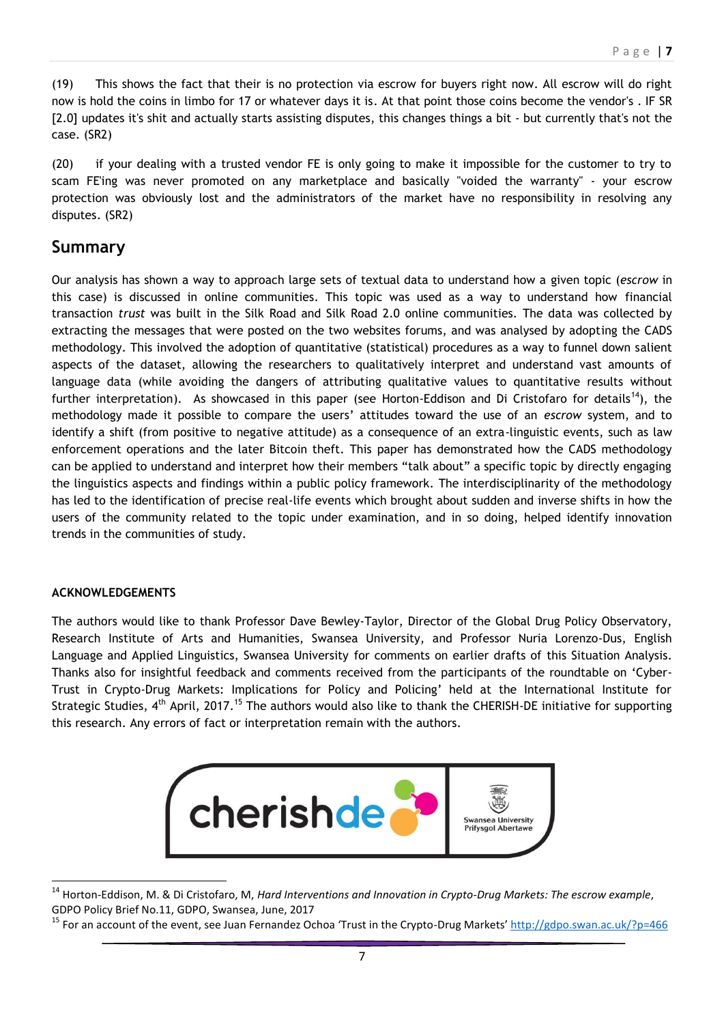(19) This shows the fact that their is no protection via escrow for buyers right now. All escrow will do right now is hold the coins in limbo for 17 or whatever days it is. At that point those coins become the vendor's . IF SR [2.0] updates it's shit and actually starts assisting disputes, this changes things a bit - but currently that's not the case. (SR2)

(20) if your dealing with a trusted vendor FE is only going to make it impossible for the customer to try to scam FE'ing was never promoted on any marketplace and basically "voided the warranty" - your escrow protection was obviously lost and the administrators of the market have no responsibility in resolving any disputes. (SR2)

## **Summary**

Our analysis has shown a way to approach large sets of textual data to understand how a given topic (*escrow* in this case) is discussed in online communities. This topic was used as a way to understand how financial transaction *trust* was built in the Silk Road and Silk Road 2.0 online communities. The data was collected by extracting the messages that were posted on the two websites forums, and was analysed by adopting the CADS methodology. This involved the adoption of quantitative (statistical) procedures as a way to funnel down salient aspects of the dataset, allowing the researchers to qualitatively interpret and understand vast amounts of language data (while avoiding the dangers of attributing qualitative values to quantitative results without further interpretation). As showcased in this paper (see Horton-Eddison and Di Cristofaro for details<sup>14</sup>), the methodology made it possible to compare the users' attitudes toward the use of an *escrow* system, and to identify a shift (from positive to negative attitude) as a consequence of an extra-linguistic events, such as law enforcement operations and the later Bitcoin theft. This paper has demonstrated how the CADS methodology can be applied to understand and interpret how their members "talk about" a specific topic by directly engaging the linguistics aspects and findings within a public policy framework. The interdisciplinarity of the methodology has led to the identification of precise real-life events which brought about sudden and inverse shifts in how the users of the community related to the topic under examination, and in so doing, helped identify innovation trends in the communities of study.

#### **ACKNOWLEDGEMENTS**

The authors would like to thank Professor Dave Bewley-Taylor, Director of the Global Drug Policy Observatory, Research Institute of Arts and Humanities, Swansea University, and Professor Nuria Lorenzo-Dus, English Language and Applied Linguistics, Swansea University for comments on earlier drafts of this Situation Analysis. Thanks also for insightful feedback and comments received from the participants of the roundtable on 'Cyber-Trust in Crypto-Drug Markets: Implications for Policy and Policing' held at the International Institute for Strategic Studies, 4<sup>th</sup> April, 2017.<sup>15</sup> The authors would also like to thank the CHERISH-DE initiative for supporting this research. Any errors of fact or interpretation remain with the authors.



 $\overline{a}$ <sup>14</sup> Horton-Eddison, M. & Di Cristofaro, M, *Hard Interventions and Innovation in Crypto-Drug Markets: The escrow example*, GDPO Policy Brief No.11, GDPO, Swansea, June, 2017

<sup>&</sup>lt;sup>15</sup> For an account of the event, see Juan Fernandez Ochoa 'Trust in the Crypto-Drug Markets' http://gdpo.swan.ac.uk/?p=466